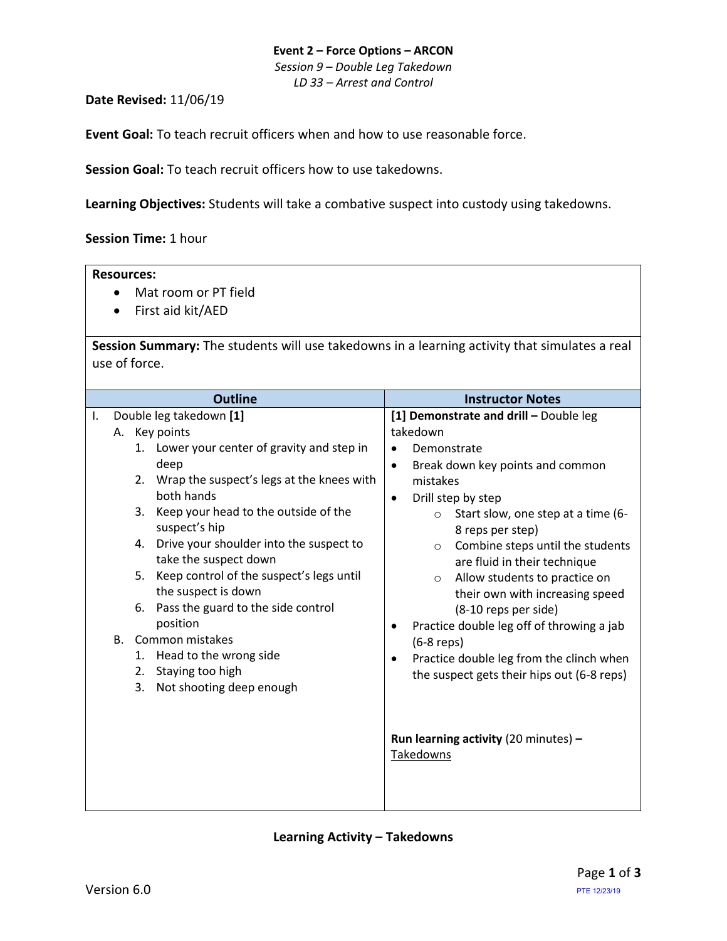### **Event 2 – Force Options – ARCON** *Session 9 – Double Leg Takedown*

*LD 33 – Arrest and Control*

**Date Revised:** 11/06/19

**Event Goal:** To teach recruit officers when and how to use reasonable force.

**Session Goal:** To teach recruit officers how to use takedowns.

**Learning Objectives:** Students will take a combative suspect into custody using takedowns.

**Session Time:** 1 hour

## **Resources:**

- Mat room or PT field
- First aid kit/AED

**Session Summary:** The students will use takedowns in a learning activity that simulates a real use of force.

| <b>Outline</b>                                                                                                                                                                                                                                                                                                                                                                                                                                                                                                                                          | <b>Instructor Notes</b>                                                                                                                                                                                                                                                                                                                                                                                                                                                                                                                                                                                                                  |
|---------------------------------------------------------------------------------------------------------------------------------------------------------------------------------------------------------------------------------------------------------------------------------------------------------------------------------------------------------------------------------------------------------------------------------------------------------------------------------------------------------------------------------------------------------|------------------------------------------------------------------------------------------------------------------------------------------------------------------------------------------------------------------------------------------------------------------------------------------------------------------------------------------------------------------------------------------------------------------------------------------------------------------------------------------------------------------------------------------------------------------------------------------------------------------------------------------|
| Double leg takedown [1]<br>Τ.<br>A. Key points<br>1. Lower your center of gravity and step in<br>deep<br>2. Wrap the suspect's legs at the knees with<br>both hands<br>3. Keep your head to the outside of the<br>suspect's hip<br>4. Drive your shoulder into the suspect to<br>take the suspect down<br>5. Keep control of the suspect's legs until<br>the suspect is down<br>6. Pass the guard to the side control<br>position<br><b>B.</b> Common mistakes<br>1. Head to the wrong side<br>Staying too high<br>2.<br>3.<br>Not shooting deep enough | [1] Demonstrate and drill - Double leg<br>takedown<br>Demonstrate<br>Break down key points and common<br>$\bullet$<br>mistakes<br>Drill step by step<br>$\bullet$<br>Start slow, one step at a time (6-<br>$\circ$<br>8 reps per step)<br>Combine steps until the students<br>$\circ$<br>are fluid in their technique<br>Allow students to practice on<br>$\circ$<br>their own with increasing speed<br>(8-10 reps per side)<br>Practice double leg off of throwing a jab<br>$(6-8$ reps)<br>Practice double leg from the clinch when<br>the suspect gets their hips out (6-8 reps)<br>Run learning activity (20 minutes) -<br>Takedowns |

### <span id="page-0-0"></span>**Learning Activity – Takedowns**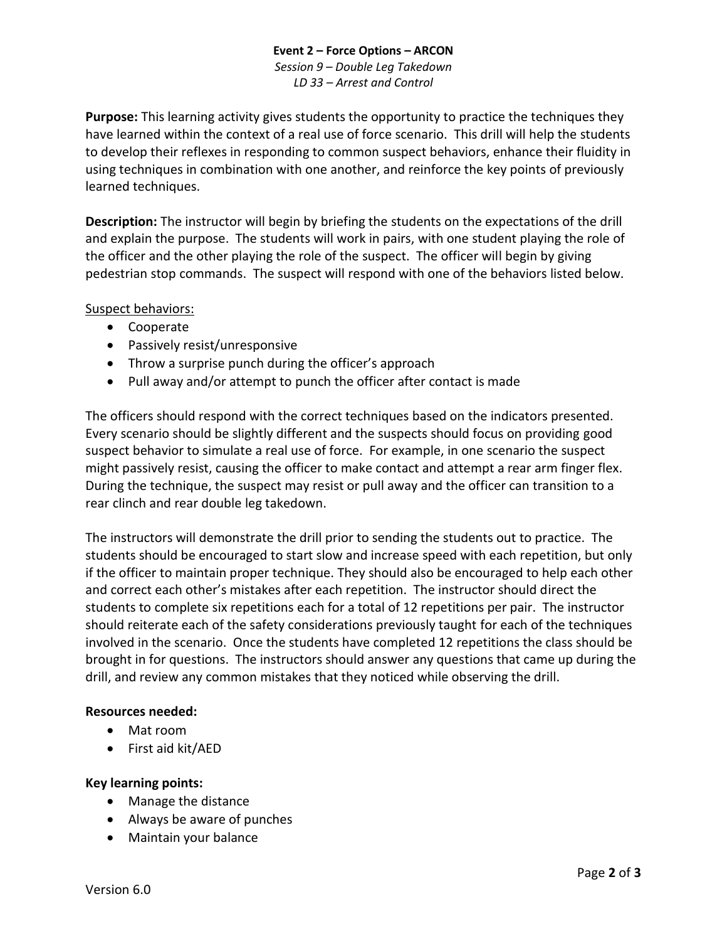#### **Event 2 – Force Options – ARCON** *Session 9 – Double Leg Takedown LD 33 – Arrest and Control*

**Purpose:** This learning activity gives students the opportunity to practice the techniques they have learned within the context of a real use of force scenario. This drill will help the students to develop their reflexes in responding to common suspect behaviors, enhance their fluidity in using techniques in combination with one another, and reinforce the key points of previously learned techniques.

**Description:** The instructor will begin by briefing the students on the expectations of the drill and explain the purpose. The students will work in pairs, with one student playing the role of the officer and the other playing the role of the suspect. The officer will begin by giving pedestrian stop commands. The suspect will respond with one of the behaviors listed below.

# Suspect behaviors:

- Cooperate
- Passively resist/unresponsive
- Throw a surprise punch during the officer's approach
- Pull away and/or attempt to punch the officer after contact is made

The officers should respond with the correct techniques based on the indicators presented. Every scenario should be slightly different and the suspects should focus on providing good suspect behavior to simulate a real use of force. For example, in one scenario the suspect might passively resist, causing the officer to make contact and attempt a rear arm finger flex. During the technique, the suspect may resist or pull away and the officer can transition to a rear clinch and rear double leg takedown.

The instructors will demonstrate the drill prior to sending the students out to practice. The students should be encouraged to start slow and increase speed with each repetition, but only if the officer to maintain proper technique. They should also be encouraged to help each other and correct each other's mistakes after each repetition. The instructor should direct the students to complete six repetitions each for a total of 12 repetitions per pair. The instructor should reiterate each of the safety considerations previously taught for each of the techniques involved in the scenario. Once the students have completed 12 repetitions the class should be brought in for questions. The instructors should answer any questions that came up during the drill, and review any common mistakes that they noticed while observing the drill.

### **Resources needed:**

- Mat room
- First aid kit/AED

### **Key learning points:**

- Manage the distance
- Always be aware of punches
- Maintain your balance